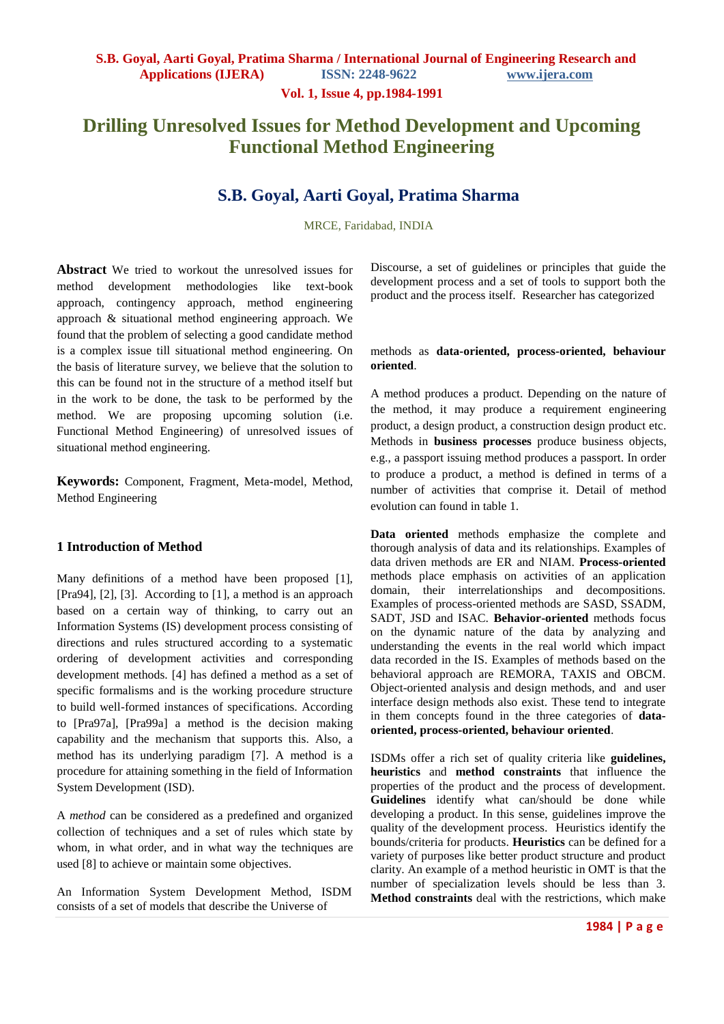**Vol. 1, Issue 4, pp.1984-1991**

# **Drilling Unresolved Issues for Method Development and Upcoming Functional Method Engineering**

## **S.B. Goyal, Aarti Goyal, Pratima Sharma**

MRCE, Faridabad, INDIA

**Abstract** We tried to workout the unresolved issues for method development methodologies like text-book approach, contingency approach, method engineering approach & situational method engineering approach. We found that the problem of selecting a good candidate method is a complex issue till situational method engineering. On the basis of literature survey, we believe that the solution to this can be found not in the structure of a method itself but in the work to be done, the task to be performed by the method. We are proposing upcoming solution (i.e. Functional Method Engineering) of unresolved issues of situational method engineering.

**Keywords:** Component, Fragment, Meta-model, Method, Method Engineering

#### **1 Introduction of Method**

Many definitions of a method have been proposed [1], [Pra94], [2], [3]. According to [1], a method is an approach based on a certain way of thinking, to carry out an Information Systems (IS) development process consisting of directions and rules structured according to a systematic ordering of development activities and corresponding development methods. [4] has defined a method as a set of specific formalisms and is the working procedure structure to build well-formed instances of specifications. According to [Pra97a], [Pra99a] a method is the decision making capability and the mechanism that supports this. Also, a method has its underlying paradigm [7]. A method is a procedure for attaining something in the field of Information System Development (ISD).

A *method* can be considered as a predefined and organized collection of techniques and a set of rules which state by whom, in what order, and in what way the techniques are used [8] to achieve or maintain some objectives.

An Information System Development Method, ISDM consists of a set of models that describe the Universe of

Discourse, a set of guidelines or principles that guide the development process and a set of tools to support both the product and the process itself. Researcher has categorized

#### methods as **data-oriented, process-oriented, behaviour oriented**.

A method produces a product. Depending on the nature of the method, it may produce a requirement engineering product, a design product, a construction design product etc. Methods in **business processes** produce business objects, e.g., a passport issuing method produces a passport. In order to produce a product, a method is defined in terms of a number of activities that comprise it. Detail of method evolution can found in table 1.

**Data oriented** methods emphasize the complete and thorough analysis of data and its relationships. Examples of data driven methods are ER and NIAM. **Process-oriented** methods place emphasis on activities of an application domain, their interrelationships and decompositions. Examples of process-oriented methods are SASD, SSADM, SADT, JSD and ISAC. **Behavior-oriented** methods focus on the dynamic nature of the data by analyzing and understanding the events in the real world which impact data recorded in the IS. Examples of methods based on the behavioral approach are REMORA, TAXIS and OBCM. Object-oriented analysis and design methods, and and user interface design methods also exist. These tend to integrate in them concepts found in the three categories of **dataoriented, process-oriented, behaviour oriented**.

ISDMs offer a rich set of quality criteria like **guidelines, heuristics** and **method constraints** that influence the properties of the product and the process of development. **Guidelines** identify what can/should be done while developing a product. In this sense, guidelines improve the quality of the development process. Heuristics identify the bounds/criteria for products. **Heuristics** can be defined for a variety of purposes like better product structure and product clarity. An example of a method heuristic in OMT is that the number of specialization levels should be less than 3. **Method constraints** deal with the restrictions, which make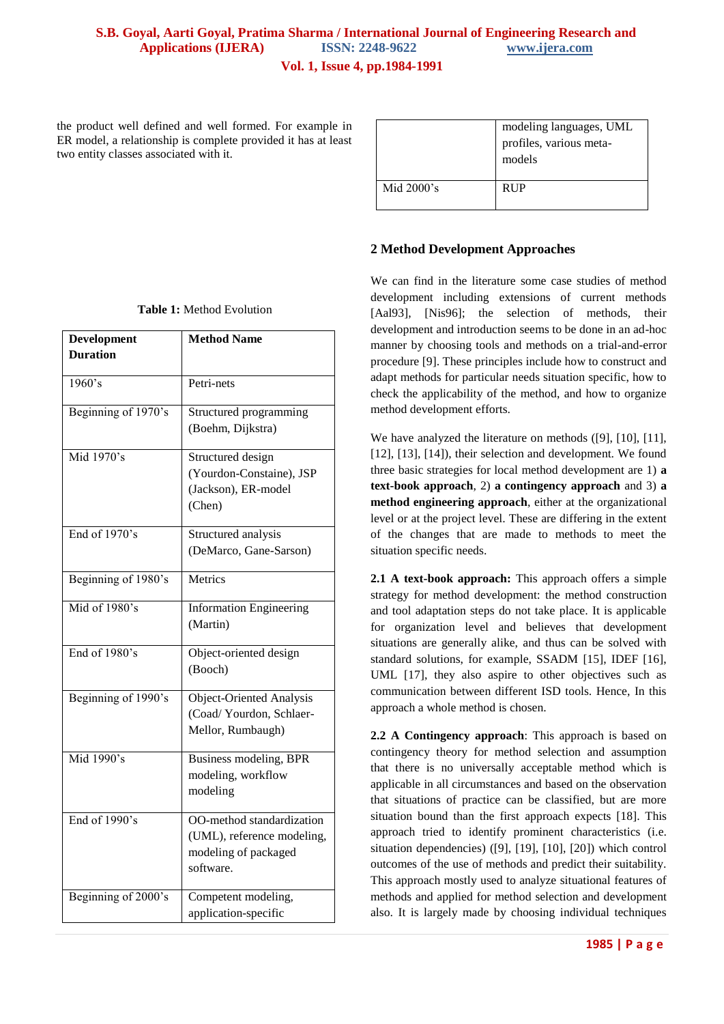the product well defined and well formed. For example in ER model, a relationship is complete provided it has at least two entity classes associated with it.

|               | modeling languages, UML<br>profiles, various meta-<br>models |
|---------------|--------------------------------------------------------------|
| Mid $2000$ 's | <b>RUP</b>                                                   |

#### **2 Method Development Approaches**

We can find in the literature some case studies of method development including extensions of current methods [Aal93], [Nis96]; the selection of methods, their development and introduction seems to be done in an ad-hoc manner by choosing tools and methods on a trial-and-error procedure [9]. These principles include how to construct and adapt methods for particular needs situation specific, how to check the applicability of the method, and how to organize method development efforts.

We have analyzed the literature on methods ([9], [10], [11], [12], [13], [14]), their selection and development. We found three basic strategies for local method development are 1) **a text-book approach**, 2) **a contingency approach** and 3) **a method engineering approach**, either at the organizational level or at the project level. These are differing in the extent of the changes that are made to methods to meet the situation specific needs.

**2.1 A text-book approach:** This approach offers a simple strategy for method development: the method construction and tool adaptation steps do not take place. It is applicable for organization level and believes that development situations are generally alike, and thus can be solved with standard solutions, for example, SSADM [15], IDEF [16], UML [17], they also aspire to other objectives such as communication between different ISD tools. Hence, In this approach a whole method is chosen.

**2.2 A Contingency approach**: This approach is based on contingency theory for method selection and assumption that there is no universally acceptable method which is applicable in all circumstances and based on the observation that situations of practice can be classified, but are more situation bound than the first approach expects [18]. This approach tried to identify prominent characteristics (i.e. situation dependencies) ([9], [19], [10], [20]) which control outcomes of the use of methods and predict their suitability. This approach mostly used to analyze situational features of methods and applied for method selection and development also. It is largely made by choosing individual techniques

|  |  |  | <b>Table 1:</b> Method Evolution |
|--|--|--|----------------------------------|
|--|--|--|----------------------------------|

| Development         | <b>Method Name</b>             |
|---------------------|--------------------------------|
| <b>Duration</b>     |                                |
|                     |                                |
| 1960's              | Petri-nets                     |
| Beginning of 1970's | Structured programming         |
|                     | (Boehm, Dijkstra)              |
| Mid 1970's          | Structured design              |
|                     | (Yourdon-Constaine), JSP       |
|                     | (Jackson), ER-model            |
|                     | (Chen)                         |
| End of $1970$ 's    | Structured analysis            |
|                     | (DeMarco, Gane-Sarson)         |
| Beginning of 1980's | <b>Metrics</b>                 |
| Mid of $1980's$     | <b>Information Engineering</b> |
|                     | (Martin)                       |
| End of 1980's       | Object-oriented design         |
|                     | (Booch)                        |
| Beginning of 1990's | Object-Oriented Analysis       |
|                     | (Coad/Yourdon, Schlaer-        |
|                     | Mellor, Rumbaugh)              |
| Mid 1990's          | Business modeling, BPR         |
|                     | modeling, workflow             |
|                     | modeling                       |
| End of $1990$ 's    | OO-method standardization      |
|                     | (UML), reference modeling,     |
|                     | modeling of packaged           |
|                     | software.                      |
| Beginning of 2000's | Competent modeling,            |
|                     | application-specific           |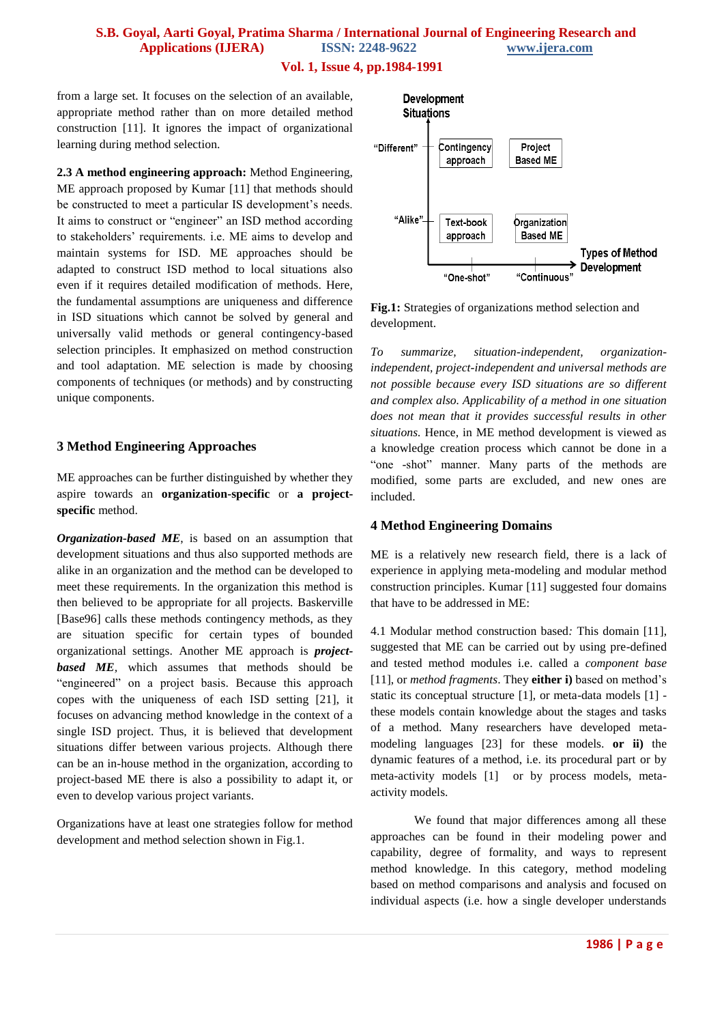#### **Vol. 1, Issue 4, pp.1984-1991**

from a large set. It focuses on the selection of an available, appropriate method rather than on more detailed method construction [11]. It ignores the impact of organizational learning during method selection.

**2.3 A method engineering approach:** Method Engineering, ME approach proposed by Kumar [11] that methods should be constructed to meet a particular IS development's needs. It aims to construct or "engineer" an ISD method according to stakeholders" requirements. i.e. ME aims to develop and maintain systems for ISD. ME approaches should be adapted to construct ISD method to local situations also even if it requires detailed modification of methods. Here, the fundamental assumptions are uniqueness and difference in ISD situations which cannot be solved by general and universally valid methods or general contingency-based selection principles. It emphasized on method construction and tool adaptation. ME selection is made by choosing components of techniques (or methods) and by constructing unique components.

#### **3 Method Engineering Approaches**

ME approaches can be further distinguished by whether they aspire towards an **organization-specific** or **a projectspecific** method.

*Organization-based ME*, is based on an assumption that development situations and thus also supported methods are alike in an organization and the method can be developed to meet these requirements. In the organization this method is then believed to be appropriate for all projects. Baskerville [Base96] calls these methods contingency methods, as they are situation specific for certain types of bounded organizational settings. Another ME approach is *projectbased ME,* which assumes that methods should be "engineered" on a project basis. Because this approach copes with the uniqueness of each ISD setting [21], it focuses on advancing method knowledge in the context of a single ISD project. Thus, it is believed that development situations differ between various projects. Although there can be an in-house method in the organization, according to project-based ME there is also a possibility to adapt it, or even to develop various project variants.

Organizations have at least one strategies follow for method development and method selection shown in Fig.1.



**Fig.1:** Strategies of organizations method selection and development.

*To summarize, situation-independent, organizationindependent, project-independent and universal methods are not possible because every ISD situations are so different and complex also. Applicability of a method in one situation does not mean that it provides successful results in other situations.* Hence, in ME method development is viewed as a knowledge creation process which cannot be done in a "one -shot" manner. Many parts of the methods are modified, some parts are excluded, and new ones are included.

#### **4 Method Engineering Domains**

ME is a relatively new research field, there is a lack of experience in applying meta-modeling and modular method construction principles. Kumar [11] suggested four domains that have to be addressed in ME:

4.1 Modular method construction based*:* This domain [11], suggested that ME can be carried out by using pre-defined and tested method modules i.e. called a *component base* [11], or *method fragments*. They **either i)** based on method"s static its conceptual structure [1], or meta-data models [1] these models contain knowledge about the stages and tasks of a method. Many researchers have developed metamodeling languages [23] for these models. **or ii)** the dynamic features of a method, i.e. its procedural part or by meta-activity models [1] or by process models, metaactivity models.

We found that major differences among all these approaches can be found in their modeling power and capability, degree of formality, and ways to represent method knowledge. In this category, method modeling based on method comparisons and analysis and focused on individual aspects (i.e. how a single developer understands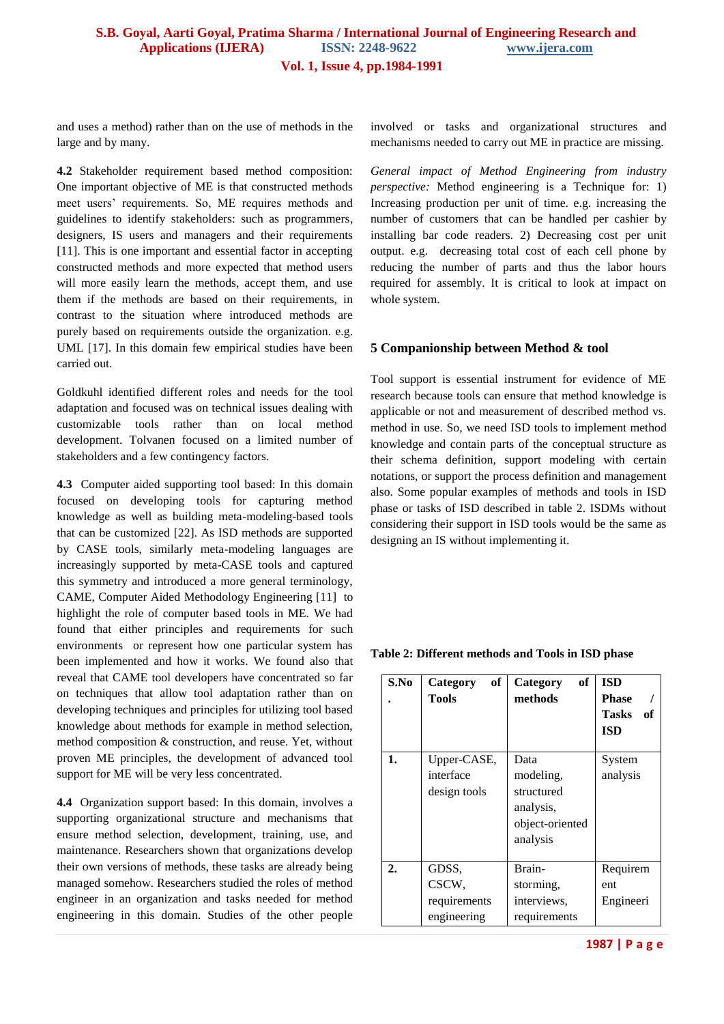and uses a method) rather than on the use of methods in the large and by many.

**4.2** Stakeholder requirement based method composition: One important objective of ME is that constructed methods meet users" requirements. So, ME requires methods and guidelines to identify stakeholders: such as programmers, designers, IS users and managers and their requirements [11]. This is one important and essential factor in accepting constructed methods and more expected that method users will more easily learn the methods, accept them, and use them if the methods are based on their requirements, in contrast to the situation where introduced methods are purely based on requirements outside the organization. e.g. UML [17]. In this domain few empirical studies have been carried out.

Goldkuhl identified different roles and needs for the tool adaptation and focused was on technical issues dealing with customizable tools rather than on local method development. Tolvanen focused on a limited number of stakeholders and a few contingency factors.

**4.3** Computer aided supporting tool based: In this domain focused on developing tools for capturing method knowledge as well as building meta-modeling-based tools that can be customized [22]. As ISD methods are supported by CASE tools, similarly meta-modeling languages are increasingly supported by meta-CASE tools and captured this symmetry and introduced a more general terminology, CAME, Computer Aided Methodology Engineering [11] to highlight the role of computer based tools in ME. We had found that either principles and requirements for such environments or represent how one particular system has been implemented and how it works. We found also that reveal that CAME tool developers have concentrated so far on techniques that allow tool adaptation rather than on developing techniques and principles for utilizing tool based knowledge about methods for example in method selection, method composition & construction, and reuse. Yet, without proven ME principles, the development of advanced tool support for ME will be very less concentrated.

**4.4** Organization support based: In this domain, involves a supporting organizational structure and mechanisms that ensure method selection, development, training, use, and maintenance. Researchers shown that organizations develop their own versions of methods, these tasks are already being managed somehow. Researchers studied the roles of method engineer in an organization and tasks needed for method engineering in this domain. Studies of the other people involved or tasks and organizational structures and mechanisms needed to carry out ME in practice are missing.

*General impact of Method Engineering from industry perspective:* Method engineering is a Technique for: 1) Increasing production per unit of time. e.g. increasing the number of customers that can be handled per cashier by installing bar code readers. 2) Decreasing cost per unit output. e.g. decreasing total cost of each cell phone by reducing the number of parts and thus the labor hours required for assembly. It is critical to look at impact on whole system.

#### **5 Companionship between Method & tool**

Tool support is essential instrument for evidence of ME research because tools can ensure that method knowledge is applicable or not and measurement of described method vs. method in use. So, we need ISD tools to implement method knowledge and contain parts of the conceptual structure as their schema definition, support modeling with certain notations, or support the process definition and management also. Some popular examples of methods and tools in ISD phase or tasks of ISD described in table 2. ISDMs without considering their support in ISD tools would be the same as designing an IS without implementing it.

| S.No             | of<br>Category<br>Tools                       | of<br>Category<br>methods                                                   | <b>ISD</b><br><b>Phase</b><br>Tasks of<br><b>ISD</b> |
|------------------|-----------------------------------------------|-----------------------------------------------------------------------------|------------------------------------------------------|
| 1.               | Upper-CASE,<br>interface<br>design tools      | Data<br>modeling,<br>structured<br>analysis,<br>object-oriented<br>analysis | System<br>analysis                                   |
| $\overline{2}$ . | GDSS,<br>CSCW,<br>requirements<br>engineering | Brain-<br>storming,<br>interviews,<br>requirements                          | Requirem<br>ent<br>Engineeri                         |

#### **Table 2: Different methods and Tools in ISD phase**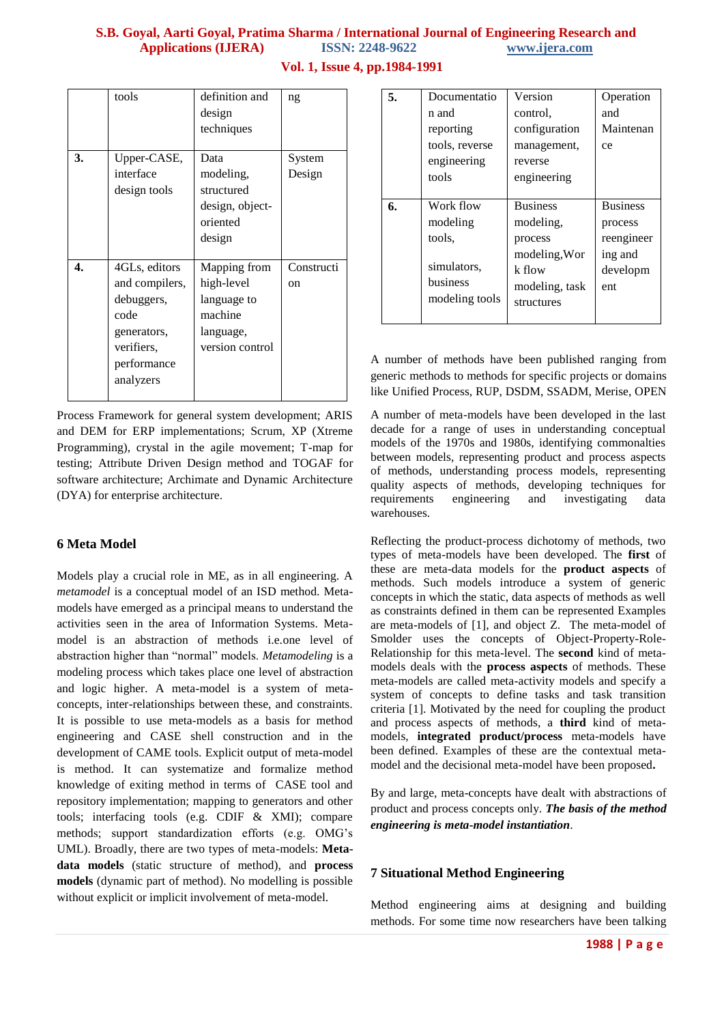|    | tools          | definition and<br>design<br>techniques | ng         |
|----|----------------|----------------------------------------|------------|
| 3. | Upper-CASE,    | Data                                   | System     |
|    | interface      | modeling,                              | Design     |
|    | design tools   | structured                             |            |
|    |                | design, object-                        |            |
|    |                | oriented                               |            |
|    |                | design                                 |            |
|    |                |                                        |            |
| 4. | 4GLs, editors  | Mapping from                           | Constructi |
|    | and compilers, | high-level                             | on         |
|    | debuggers,     | language to                            |            |
|    | code           | machine                                |            |
|    | generators,    | language,                              |            |
|    | verifiers,     | version control                        |            |
|    | performance    |                                        |            |
|    | analyzers      |                                        |            |
|    |                |                                        |            |

**Vol. 1, Issue 4, pp.1984-1991**

| 5. | Documentatio   | Version         | Operation       |
|----|----------------|-----------------|-----------------|
|    | n and          | control.        | and             |
|    | reporting      | configuration   | Maintenan       |
|    | tools, reverse | management,     | ce              |
|    | engineering    | reverse         |                 |
|    | tools          | engineering     |                 |
|    |                |                 |                 |
| 6. | Work flow      | <b>Business</b> | <b>Business</b> |
|    | modeling       | modeling,       | process         |
|    | tools.         | process         | reengineer      |
|    |                | modeling, Wor   | ing and         |
|    | simulators,    | k flow          | developm        |
|    | business       | modeling, task  | ent             |
|    | modeling tools | structures      |                 |
|    |                |                 |                 |

A number of methods have been published ranging from generic methods to methods for specific projects or domains like Unified Process, RUP, DSDM, SSADM, Merise, OPEN

Process Framework for general system development; ARIS and DEM for ERP implementations; Scrum, XP (Xtreme Programming), crystal in the agile movement; T-map for testing; Attribute Driven Design method and TOGAF for software architecture; Archimate and Dynamic Architecture (DYA) for enterprise architecture.

## **6 Meta Model**

Models play a crucial role in ME, as in all engineering. A *metamodel* is a conceptual model of an ISD method. Metamodels have emerged as a principal means to understand the activities seen in the area of Information Systems. Metamodel is an abstraction of methods i.e.one level of abstraction higher than "normal" models. *Metamodeling* is a modeling process which takes place one level of abstraction and logic higher. A meta-model is a system of metaconcepts, inter-relationships between these, and constraints. It is possible to use meta-models as a basis for method engineering and CASE shell construction and in the development of CAME tools. Explicit output of meta-model is method. It can systematize and formalize method knowledge of exiting method in terms of CASE tool and repository implementation; mapping to generators and other tools; interfacing tools (e.g. CDIF & XMI); compare methods; support standardization efforts (e.g. OMG"s UML). Broadly, there are two types of meta-models: **Metadata models** (static structure of method), and **process models** (dynamic part of method). No modelling is possible without explicit or implicit involvement of meta-model.

A number of meta-models have been developed in the last decade for a range of uses in understanding conceptual models of the 1970s and 1980s, identifying commonalties between models, representing product and process aspects of methods, understanding process models, representing quality aspects of methods, developing techniques for requirements engineering and investigating data warehouses.

Reflecting the product-process dichotomy of methods, two types of meta-models have been developed. The **first** of these are meta-data models for the **product aspects** of methods. Such models introduce a system of generic concepts in which the static, data aspects of methods as well as constraints defined in them can be represented Examples are meta-models of [1], and object Z. The meta-model of Smolder uses the concepts of Object-Property-Role-Relationship for this meta-level. The **second** kind of metamodels deals with the **process aspects** of methods. These meta-models are called meta-activity models and specify a system of concepts to define tasks and task transition criteria [1]. Motivated by the need for coupling the product and process aspects of methods, a **third** kind of metamodels, **integrated product/process** meta-models have been defined. Examples of these are the contextual metamodel and the decisional meta-model have been proposed**.**

By and large, meta-concepts have dealt with abstractions of product and process concepts only. *The basis of the method engineering is meta-model instantiation*.

## **7 Situational Method Engineering**

Method engineering aims at designing and building methods. For some time now researchers have been talking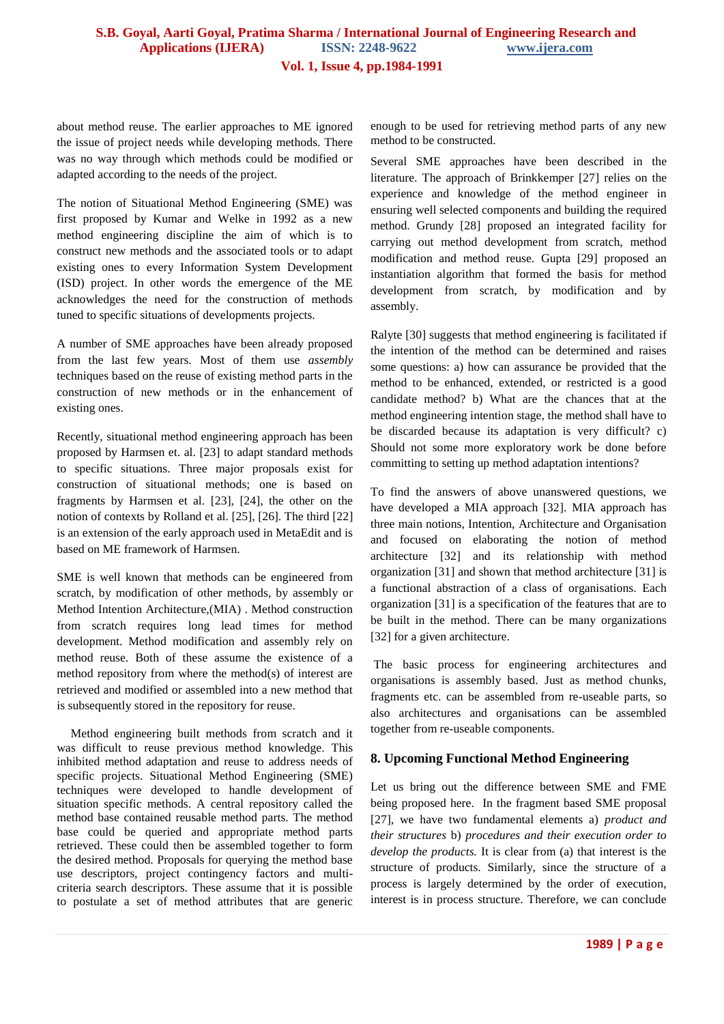about method reuse. The earlier approaches to ME ignored the issue of project needs while developing methods. There was no way through which methods could be modified or adapted according to the needs of the project.

The notion of Situational Method Engineering (SME) was first proposed by Kumar and Welke in 1992 as a new method engineering discipline the aim of which is to construct new methods and the associated tools or to adapt existing ones to every Information System Development (ISD) project. In other words the emergence of the ME acknowledges the need for the construction of methods tuned to specific situations of developments projects.

A number of SME approaches have been already proposed from the last few years. Most of them use *assembly* techniques based on the reuse of existing method parts in the construction of new methods or in the enhancement of existing ones.

Recently, situational method engineering approach has been proposed by Harmsen et. al. [23] to adapt standard methods to specific situations. Three major proposals exist for construction of situational methods; one is based on fragments by Harmsen et al. [23], [24], the other on the notion of contexts by Rolland et al. [25], [26]. The third [22] is an extension of the early approach used in MetaEdit and is based on ME framework of Harmsen.

SME is well known that methods can be engineered from scratch, by modification of other methods, by assembly or Method Intention Architecture,(MIA) . Method construction from scratch requires long lead times for method development. Method modification and assembly rely on method reuse. Both of these assume the existence of a method repository from where the method(s) of interest are retrieved and modified or assembled into a new method that is subsequently stored in the repository for reuse.

Method engineering built methods from scratch and it was difficult to reuse previous method knowledge. This inhibited method adaptation and reuse to address needs of specific projects. Situational Method Engineering (SME) techniques were developed to handle development of situation specific methods. A central repository called the method base contained reusable method parts. The method base could be queried and appropriate method parts retrieved. These could then be assembled together to form the desired method. Proposals for querying the method base use descriptors, project contingency factors and multicriteria search descriptors. These assume that it is possible to postulate a set of method attributes that are generic

enough to be used for retrieving method parts of any new method to be constructed.

Several SME approaches have been described in the literature. The approach of Brinkkemper [27] relies on the experience and knowledge of the method engineer in ensuring well selected components and building the required method. Grundy [28] proposed an integrated facility for carrying out method development from scratch, method modification and method reuse. Gupta [29] proposed an instantiation algorithm that formed the basis for method development from scratch, by modification and by assembly.

Ralyte [30] suggests that method engineering is facilitated if the intention of the method can be determined and raises some questions: a) how can assurance be provided that the method to be enhanced, extended, or restricted is a good candidate method? b) What are the chances that at the method engineering intention stage, the method shall have to be discarded because its adaptation is very difficult? c) Should not some more exploratory work be done before committing to setting up method adaptation intentions?

To find the answers of above unanswered questions, we have developed a MIA approach [32]. MIA approach has three main notions, Intention, Architecture and Organisation and focused on elaborating the notion of method architecture [32] and its relationship with method organization [31] and shown that method architecture [31] is a functional abstraction of a class of organisations. Each organization [31] is a specification of the features that are to be built in the method. There can be many organizations [32] for a given architecture.

The basic process for engineering architectures and organisations is assembly based. Just as method chunks, fragments etc. can be assembled from re-useable parts, so also architectures and organisations can be assembled together from re-useable components.

#### **8. Upcoming Functional Method Engineering**

Let us bring out the difference between SME and FME being proposed here. In the fragment based SME proposal [27], we have two fundamental elements a) *product and their structures* b) *procedures and their execution order to develop the products.* It is clear from (a) that interest is the structure of products. Similarly, since the structure of a process is largely determined by the order of execution, interest is in process structure. Therefore, we can conclude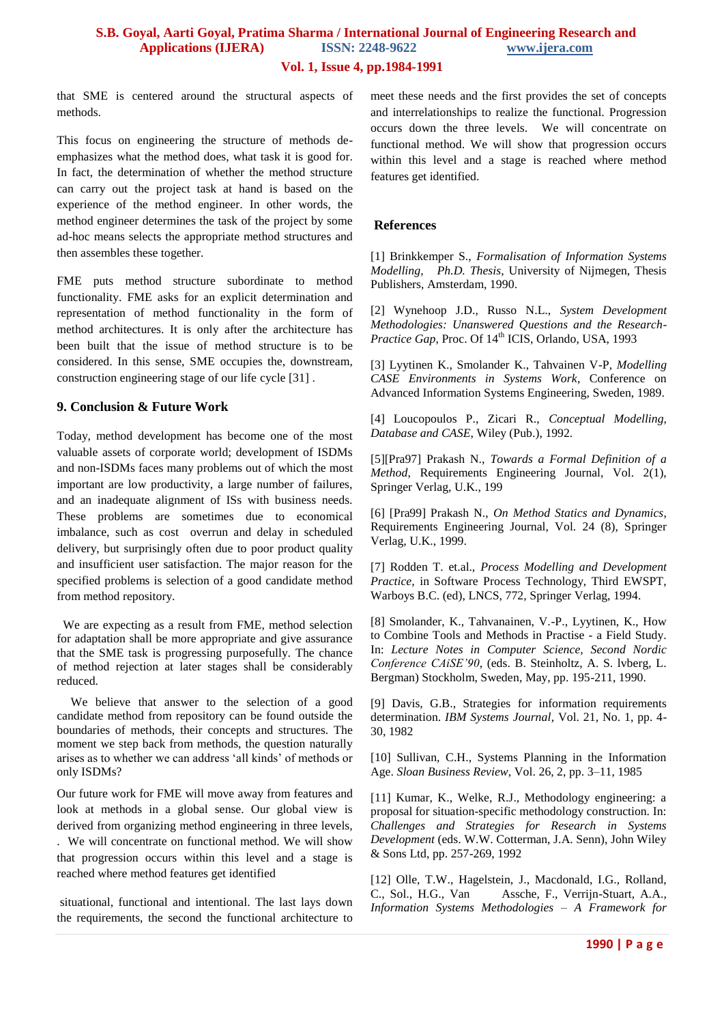#### **Vol. 1, Issue 4, pp.1984-1991**

that SME is centered around the structural aspects of methods.

This focus on engineering the structure of methods deemphasizes what the method does, what task it is good for. In fact, the determination of whether the method structure can carry out the project task at hand is based on the experience of the method engineer. In other words, the method engineer determines the task of the project by some ad-hoc means selects the appropriate method structures and then assembles these together.

FME puts method structure subordinate to method functionality. FME asks for an explicit determination and representation of method functionality in the form of method architectures. It is only after the architecture has been built that the issue of method structure is to be considered. In this sense, SME occupies the, downstream, construction engineering stage of our life cycle [31] .

#### **9. Conclusion & Future Work**

Today, method development has become one of the most valuable assets of corporate world; development of ISDMs and non-ISDMs faces many problems out of which the most important are low productivity, a large number of failures, and an inadequate alignment of ISs with business needs. These problems are sometimes due to economical imbalance, such as cost overrun and delay in scheduled delivery, but surprisingly often due to poor product quality and insufficient user satisfaction. The major reason for the specified problems is selection of a good candidate method from method repository.

 We are expecting as a result from FME, method selection for adaptation shall be more appropriate and give assurance that the SME task is progressing purposefully. The chance of method rejection at later stages shall be considerably reduced.

We believe that answer to the selection of a good candidate method from repository can be found outside the boundaries of methods, their concepts and structures. The moment we step back from methods, the question naturally arises as to whether we can address "all kinds" of methods or only ISDMs?

Our future work for FME will move away from features and look at methods in a global sense. Our global view is derived from organizing method engineering in three levels, . We will concentrate on functional method. We will show that progression occurs within this level and a stage is

situational, functional and intentional. The last lays down the requirements, the second the functional architecture to

reached where method features get identified

meet these needs and the first provides the set of concepts and interrelationships to realize the functional. Progression occurs down the three levels. We will concentrate on functional method. We will show that progression occurs within this level and a stage is reached where method features get identified.

#### **References**

[1] Brinkkemper S., *Formalisation of Information Systems Modelling, Ph.D. Thesis*, University of Nijmegen, Thesis Publishers, Amsterdam, 1990.

[2] Wynehoop J.D., Russo N.L., *System Development Methodologies: Unanswered Questions and the Research-*Practice Gap, Proc. Of 14<sup>th</sup> ICIS, Orlando, USA, 1993

[3] Lyytinen K., Smolander K., Tahvainen V-P, *Modelling CASE Environments in Systems Work*, Conference on Advanced Information Systems Engineering, Sweden, 1989.

[4] Loucopoulos P., Zicari R., *Conceptual Modelling, Database and CASE*, Wiley (Pub.), 1992.

[5][Pra97] Prakash N., *Towards a Formal Definition of a Method*, Requirements Engineering Journal, Vol. 2(1), Springer Verlag, U.K., 199

[6] [Pra99] Prakash N., *On Method Statics and Dynamics*, Requirements Engineering Journal, Vol. 24 (8), Springer Verlag, U.K., 1999.

[7] Rodden T. et.al., *Process Modelling and Development Practice,* in Software Process Technology, Third EWSPT, Warboys B.C. (ed), LNCS, 772, Springer Verlag, 1994.

[8] Smolander, K., Tahvanainen, V.-P., Lyytinen, K., How to Combine Tools and Methods in Practise - a Field Study. In: *Lecture Notes in Computer Science, Second Nordic Conference CAiSE'90*, (eds. B. Steinholtz, A. S. lvberg, L. Bergman) Stockholm, Sweden, May, pp. 195-211, 1990.

[9] Davis, G.B., Strategies for information requirements determination. *IBM Systems Journal*, Vol. 21, No. 1, pp. 4- 30, 1982

[10] Sullivan, C.H., Systems Planning in the Information Age. *Sloan Business Review*, Vol. 26, 2, pp. 3–11, 1985

[11] Kumar, K., Welke, R.J., Methodology engineering: a proposal for situation-specific methodology construction. In: *Challenges and Strategies for Research in Systems Development* (eds. W.W. Cotterman, J.A. Senn), John Wiley & Sons Ltd, pp. 257-269, 1992

[12] Olle, T.W., Hagelstein, J., Macdonald, I.G., Rolland, C., Sol., H.G., Van Assche, F., Verrijn-Stuart, A.A., *Information Systems Methodologies – A Framework for*